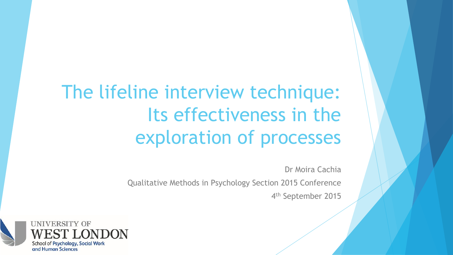# The lifeline interview technique: Its effectiveness in the exploration of processes

Dr Moira Cachia

Qualitative Methods in Psychology Section 2015 Conference

4<sup>th</sup> September 2015

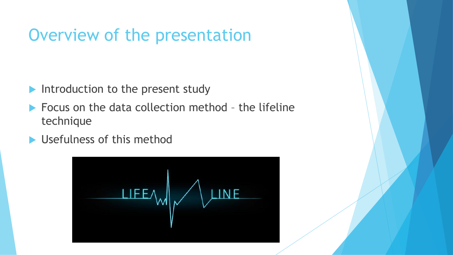# Overview of the presentation

- Introduction to the present study
- $\blacktriangleright$  Focus on the data collection method the lifeline technique
- ▶ Usefulness of this method

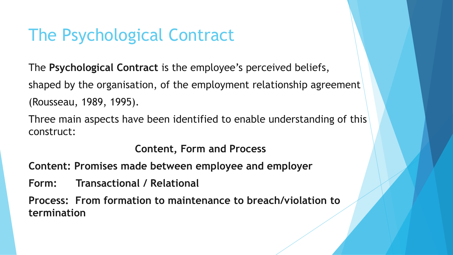# The Psychological Contract

The **Psychological Contract** is the employee's perceived beliefs, shaped by the organisation, of the employment relationship agreement (Rousseau, 1989, 1995).

Three main aspects have been identified to enable understanding of this construct:

**Content, Form and Process**

**Content: Promises made between employee and employer**

**Form: Transactional / Relational**

**Process: From formation to maintenance to breach/violation to termination**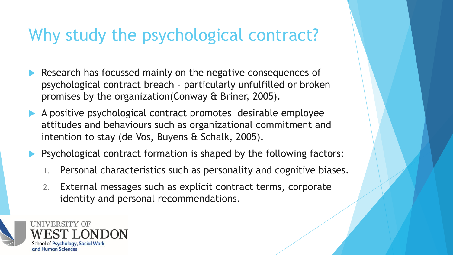### Why study the psychological contract?

- Research has focussed mainly on the negative consequences of psychological contract breach – particularly unfulfilled or broken promises by the organization(Conway & Briner, 2005).
- A positive psychological contract promotes desirable employee attitudes and behaviours such as organizational commitment and intention to stay (de Vos, Buyens & Schalk, 2005).
- **Pasychological contract formation is shaped by the following factors:** 
	- 1. Personal characteristics such as personality and cognitive biases.
	- 2. External messages such as explicit contract terms, corporate identity and personal recommendations.

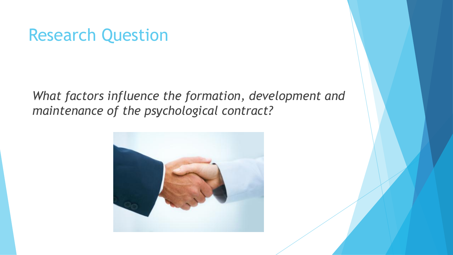#### Research Question

*What factors influence the formation, development and maintenance of the psychological contract?*

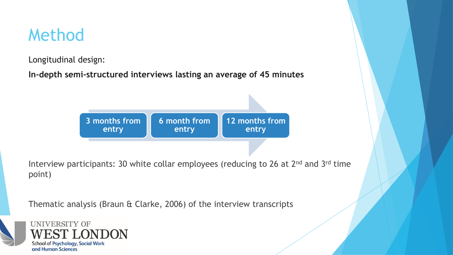### Method

Longitudinal design:

**In-depth semi-structured interviews lasting an average of 45 minutes**



Interview participants: 30 white collar employees (reducing to 26 at 2<sup>nd</sup> and 3<sup>rd</sup> time point)

Thematic analysis (Braun & Clarke, 2006) of the interview transcripts



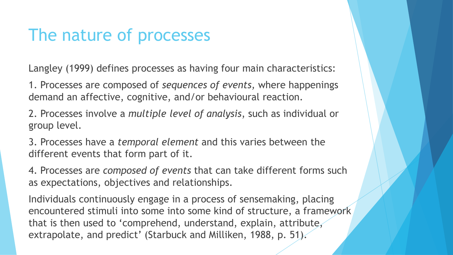#### The nature of processes

Langley (1999) defines processes as having four main characteristics:

1. Processes are composed of *sequences of events,* where happenings demand an affective, cognitive, and/or behavioural reaction.

2. Processes involve a *multiple level of analysis*, such as individual or group level.

3. Processes have a *temporal element* and this varies between the different events that form part of it.

4. Processes are *composed of events* that can take different forms such as expectations, objectives and relationships.

Individuals continuously engage in a process of sensemaking, placing encountered stimuli into some into some kind of structure, a framework that is then used to 'comprehend, understand, explain, attribute, extrapolate, and predict' (Starbuck and Milliken, 1988, p. 51).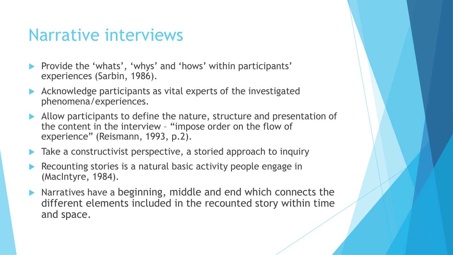#### Narrative interviews

- Provide the 'whats', 'whys' and 'hows' within participants' experiences (Sarbin, 1986).
- Acknowledge participants as vital experts of the investigated phenomena/experiences.
- Allow participants to define the nature, structure and presentation of the content in the interview – "impose order on the flow of experience" (Reismann, 1993, p.2).
- **Take a constructivist perspective, a storied approach to inquiry**
- Recounting stories is a natural basic activity people engage in (MacIntyre, 1984).
- $\blacktriangleright$  Narratives have a beginning, middle and end which connects the different elements included in the recounted story within time and space.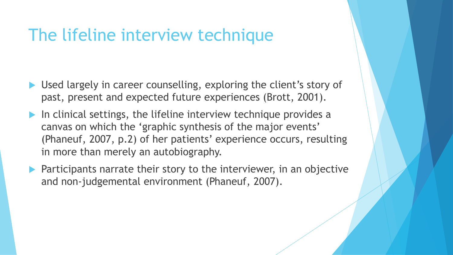#### The lifeline interview technique

- Used largely in career counselling, exploring the client's story of past, present and expected future experiences (Brott, 2001).
- In clinical settings, the lifeline interview technique provides a canvas on which the 'graphic synthesis of the major events' (Phaneuf, 2007, p.2) of her patients' experience occurs, resulting in more than merely an autobiography.
- $\blacktriangleright$  Participants narrate their story to the interviewer, in an objective and non-judgemental environment (Phaneuf, 2007).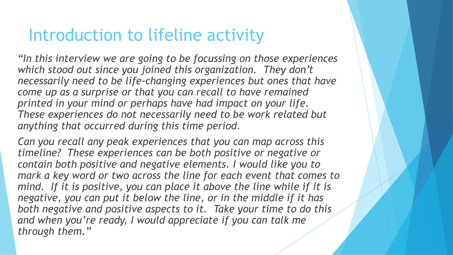#### Introduction to lifeline activity

*"In this interview we are going to be focussing on those experiences which stood out since you joined this organization. They don't necessarily need to be life-changing experiences but ones that have come up as a surprise or that you can recall to have remained printed in your mind or perhaps have had impact on your life. These experiences do not necessarily need to be work related but anything that occurred during this time period.*

*Can you recall any peak experiences that you can map across this timeline? These experiences can be both positive or negative or contain both positive and negative elements. I would like you to mark a key word or two across the line for each event that comes to*  mind. If it is positive, you can place it above the line while if it is *negative, you can put it below the line, or in the middle if it has both negative and positive aspects to it. Take your time to do this and when you're ready, I would appreciate if you can talk me through them."*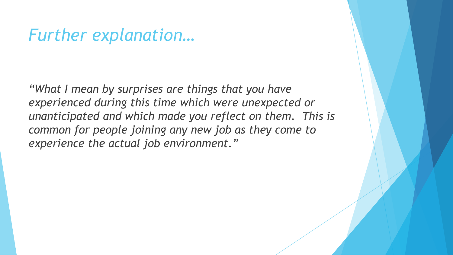#### *Further explanation…*

*"What I mean by surprises are things that you have experienced during this time which were unexpected or unanticipated and which made you reflect on them. This is common for people joining any new job as they come to experience the actual job environment."*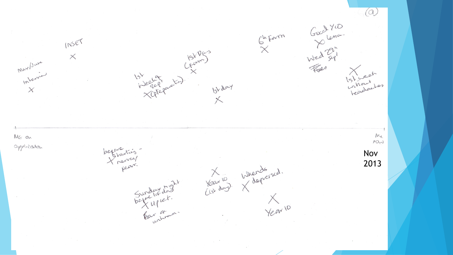$(a)$  $Gx + YD$ <br> $YD$ <br> $YD^2$ <br> $YD^2$ <br> $YD^2$ Guform INSET 15) Leelong (pum)<br>heelong X<br>Xategarate) 15/day  $\overline{\times}$  $\times$ May / Juve may/ Istiveah<br>Lation Les Istiant<br>Intiantes<br>Jeadactes 152 day  $\times$ Me MG on  $MOM$ application before this Nov Your 10 intends sed. tear. 2013Sunday dag 1 Year 10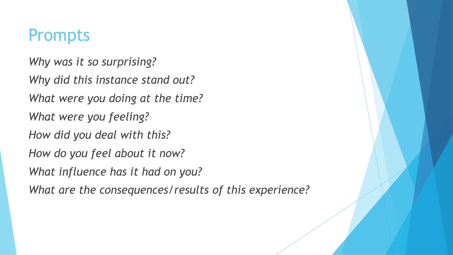#### Prompts

*Why was it so surprising? Why did this instance stand out? What were you doing at the time? What were you feeling? How did you deal with this? How do you feel about it now? What influence has it had on you? What are the consequences/results of this experience?*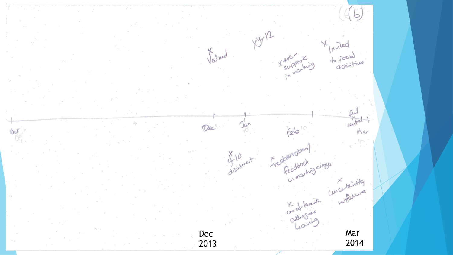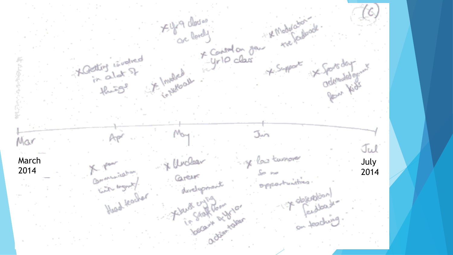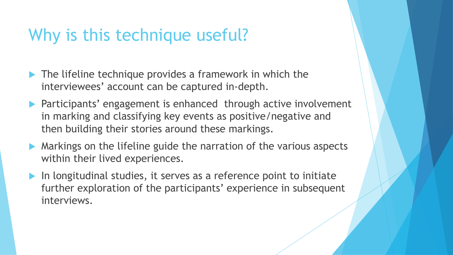### Why is this technique useful?

- **The lifeline technique provides a framework in which the** interviewees' account can be captured in-depth.
- Participants' engagement is enhanced through active involvement in marking and classifying key events as positive/negative and then building their stories around these markings.
- **Markings on the lifeline guide the narration of the various aspects** within their lived experiences.
- In longitudinal studies, it serves as a reference point to initiate further exploration of the participants' experience in subsequent interviews.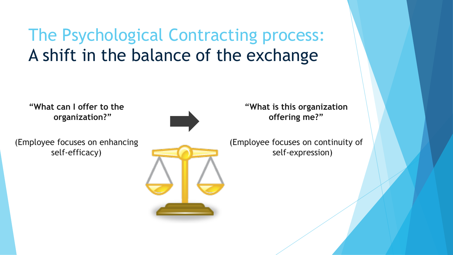# The Psychological Contracting process: A shift in the balance of the exchange

**"What can I offer to the organization?"** 

(Employee focuses on enhancing self-efficacy)



**"What is this organization offering me?"**

(Employee focuses on continuity of self-expression)